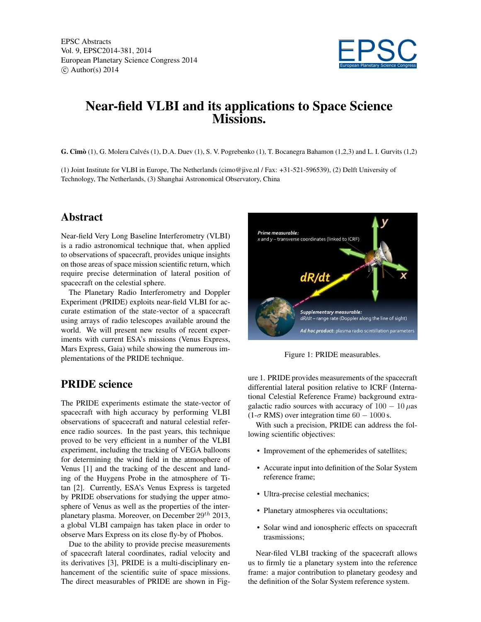EPSC Abstracts Vol. 9, EPSC2014-381, 2014 European Planetary Science Congress 2014  $\circ$  Author(s) 2014



# Near-field VLBI and its applications to Space Science Missions.

G. Cimò (1), G. Molera Calvés (1), D.A. Duev (1), S. V. Pogrebenko (1), T. Bocanegra Bahamon (1,2,3) and L. I. Gurvits (1,2)

(1) Joint Institute for VLBI in Europe, The Netherlands (cimo@jive.nl / Fax: +31-521-596539), (2) Delft University of Technology, The Netherlands, (3) Shanghai Astronomical Observatory, China

## Abstract

Near-field Very Long Baseline Interferometry (VLBI) is a radio astronomical technique that, when applied to observations of spacecraft, provides unique insights on those areas of space mission scientific return, which require precise determination of lateral position of spacecraft on the celestial sphere.

The Planetary Radio Interferometry and Doppler Experiment (PRIDE) exploits near-field VLBI for accurate estimation of the state-vector of a spacecraft using arrays of radio telescopes available around the world. We will present new results of recent experiments with current ESA's missions (Venus Express, Mars Express, Gaia) while showing the numerous implementations of the PRIDE technique.

## PRIDE science

The PRIDE experiments estimate the state-vector of spacecraft with high accuracy by performing VLBI observations of spacecraft and natural celestial reference radio sources. In the past years, this technique proved to be very efficient in a number of the VLBI experiment, including the tracking of VEGA balloons for determining the wind field in the atmosphere of Venus [1] and the tracking of the descent and landing of the Huygens Probe in the atmosphere of Titan [2]. Currently, ESA's Venus Express is targeted by PRIDE observations for studying the upper atmosphere of Venus as well as the properties of the interplanetary plasma. Moreover, on December  $29^{th}$  2013, a global VLBI campaign has taken place in order to observe Mars Express on its close fly-by of Phobos.

Due to the ability to provide precise measurements of spacecraft lateral coordinates, radial velocity and its derivatives [3], PRIDE is a multi-disciplinary enhancement of the scientific suite of space missions. The direct measurables of PRIDE are shown in Fig-



Figure 1: PRIDE measurables.

ure 1. PRIDE provides measurements of the spacecraft differential lateral position relative to ICRF (International Celestial Reference Frame) background extragalactic radio sources with accuracy of  $100 - 10 \mu$ as  $(1-\sigma RMS)$  over integration time 60 – 1000 s.

With such a precision, PRIDE can address the following scientific objectives:

- Improvement of the ephemerides of satellites;
- Accurate input into definition of the Solar System reference frame;
- Ultra-precise celestial mechanics;
- Planetary atmospheres via occultations;
- Solar wind and ionospheric effects on spacecraft trasmissions;

Near-filed VLBI tracking of the spacecraft allows us to firmly tie a planetary system into the reference frame: a major contribution to planetary geodesy and the definition of the Solar System reference system.